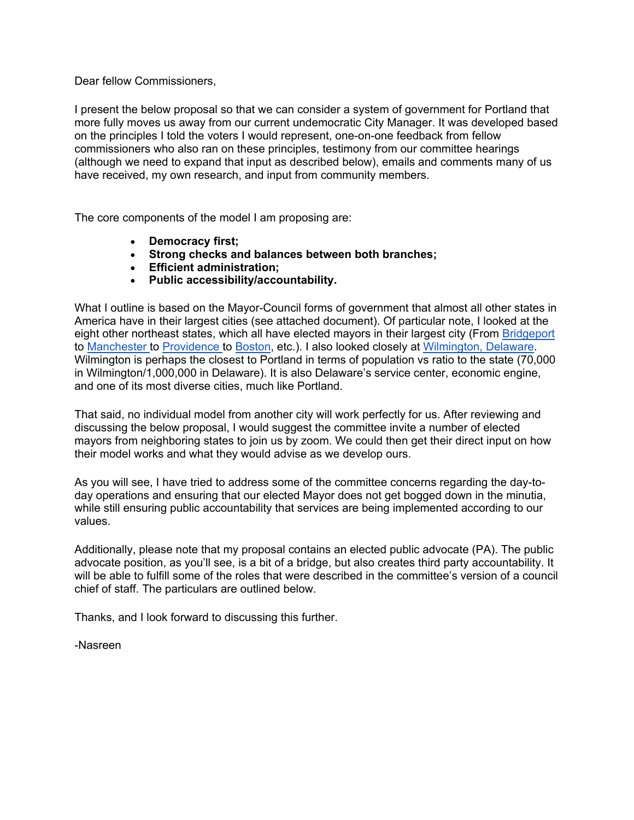### Dear fellow Commissioners,

I present the below proposal so that we can consider a system of government for Portland that more fully moves us away from our current undemocratic City Manager. It was developed based on the principles I told the voters I would represent, one-on-one feedback from fellow commissioners who also ran on these principles, testimony from our committee hearings (although we need to expand that input as described below), emails and comments many of us have received, my own research, and input from community members.

The core components of the model I am proposing are:

- **Democracy first;**
- **Strong checks and balances between both branches;**
- **Efficient administration;**
- **Public accessibility/accountability.**

What I outline is based on the Mayor-Council forms of government that almost all other states in America have in their largest cities (see attached document). Of particular note, I looked at the eight other northeast states, which all have elected mayors in their largest city (From [Bridgeport](https://library.municode.com/ct/bridgeport/codes/code_of_ordinances?nodeId=CHBR_CH3MA)  to [Manchester t](https://codelibrary.amlegal.com/codes/manchester/latest/manchester_nh/0-0-0-6265#JD_Charter2.07)o [Providence](https://library.municode.com/ri/providence/codes/code_of_ordinances?nodeId=PTIHORUCH_ARTIIIMA) to [Boston,](https://www.cityofboston.gov/Images_Documents/2007%20the%20charter%20draft20%20(final%20draft1%20with%20jumps)_tcm3-16428.pdf) etc.). I also looked closely at [Wilmington, Delaware.](https://library.municode.com/de/wilmington/codes/code_of_ordinances?nodeId=PTICHRELA_SPACH_ARTIIIEXADBRRG) Wilmington is perhaps the closest to Portland in terms of population vs ratio to the state (70,000 in Wilmington/1,000,000 in Delaware). It is also Delaware's service center, economic engine, and one of its most diverse cities, much like Portland.

That said, no individual model from another city will work perfectly for us. After reviewing and discussing the below proposal, I would suggest the committee invite a number of elected mayors from neighboring states to join us by zoom. We could then get their direct input on how their model works and what they would advise as we develop ours.

As you will see, I have tried to address some of the committee concerns regarding the day-today operations and ensuring that our elected Mayor does not get bogged down in the minutia, while still ensuring public accountability that services are being implemented according to our values.

Additionally, please note that my proposal contains an elected public advocate (PA). The public advocate position, as you'll see, is a bit of a bridge, but also creates third party accountability. It will be able to fulfill some of the roles that were described in the committee's version of a council chief of staff. The particulars are outlined below.

Thanks, and I look forward to discussing this further.

-Nasreen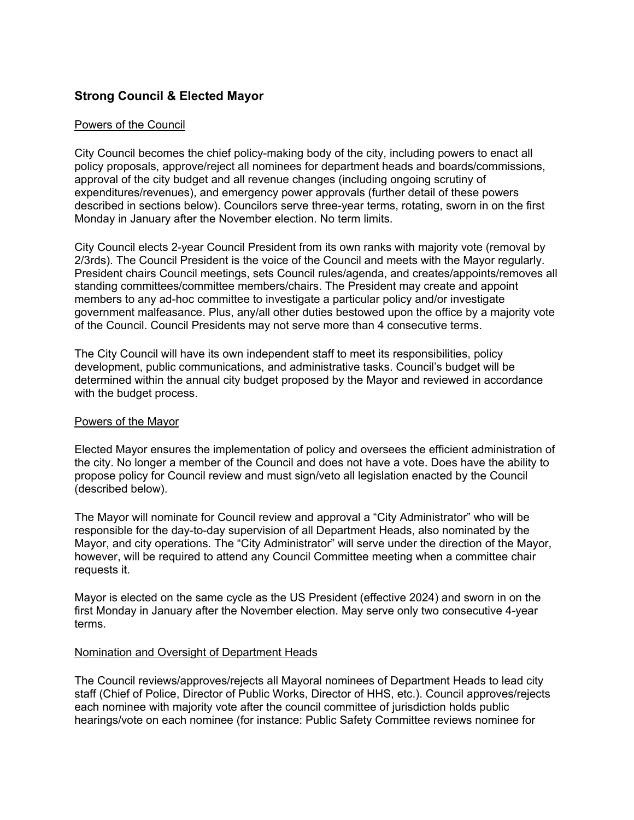# **Strong Council & Elected Mayor**

### Powers of the Council

City Council becomes the chief policy-making body of the city, including powers to enact all policy proposals, approve/reject all nominees for department heads and boards/commissions, approval of the city budget and all revenue changes (including ongoing scrutiny of expenditures/revenues), and emergency power approvals (further detail of these powers described in sections below). Councilors serve three-year terms, rotating, sworn in on the first Monday in January after the November election. No term limits.

City Council elects 2-year Council President from its own ranks with majority vote (removal by 2/3rds). The Council President is the voice of the Council and meets with the Mayor regularly. President chairs Council meetings, sets Council rules/agenda, and creates/appoints/removes all standing committees/committee members/chairs. The President may create and appoint members to any ad-hoc committee to investigate a particular policy and/or investigate government malfeasance. Plus, any/all other duties bestowed upon the office by a majority vote of the Council. Council Presidents may not serve more than 4 consecutive terms.

The City Council will have its own independent staff to meet its responsibilities, policy development, public communications, and administrative tasks. Council's budget will be determined within the annual city budget proposed by the Mayor and reviewed in accordance with the budget process.

### Powers of the Mayor

Elected Mayor ensures the implementation of policy and oversees the efficient administration of the city. No longer a member of the Council and does not have a vote. Does have the ability to propose policy for Council review and must sign/veto all legislation enacted by the Council (described below).

The Mayor will nominate for Council review and approval a "City Administrator" who will be responsible for the day-to-day supervision of all Department Heads, also nominated by the Mayor, and city operations. The "City Administrator" will serve under the direction of the Mayor, however, will be required to attend any Council Committee meeting when a committee chair requests it.

Mayor is elected on the same cycle as the US President (effective 2024) and sworn in on the first Monday in January after the November election. May serve only two consecutive 4-year terms.

### Nomination and Oversight of Department Heads

The Council reviews/approves/rejects all Mayoral nominees of Department Heads to lead city staff (Chief of Police, Director of Public Works, Director of HHS, etc.). Council approves/rejects each nominee with majority vote after the council committee of jurisdiction holds public hearings/vote on each nominee (for instance: Public Safety Committee reviews nominee for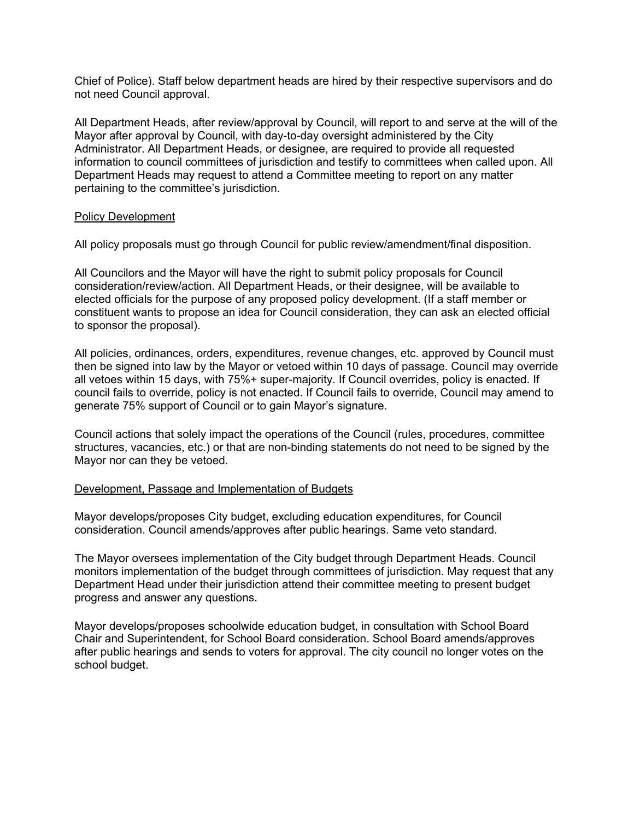Chief of Police). Staff below department heads are hired by their respective supervisors and do not need Council approval.

All Department Heads, after review/approval by Council, will report to and serve at the will of the Mayor after approval by Council, with day-to-day oversight administered by the City Administrator. All Department Heads, or designee, are required to provide all requested information to council committees of jurisdiction and testify to committees when called upon. All Department Heads may request to attend a Committee meeting to report on any matter pertaining to the committee's jurisdiction.

### Policy Development

All policy proposals must go through Council for public review/amendment/final disposition.

All Councilors and the Mayor will have the right to submit policy proposals for Council consideration/review/action. All Department Heads, or their designee, will be available to elected officials for the purpose of any proposed policy development. (If a staff member or constituent wants to propose an idea for Council consideration, they can ask an elected official to sponsor the proposal).

All policies, ordinances, orders, expenditures, revenue changes, etc. approved by Council must then be signed into law by the Mayor or vetoed within 10 days of passage. Council may override all vetoes within 15 days, with 75%+ super-majority. If Council overrides, policy is enacted. If council fails to override, policy is not enacted. If Council fails to override, Council may amend to generate 75% support of Council or to gain Mayor's signature.

Council actions that solely impact the operations of the Council (rules, procedures, committee structures, vacancies, etc.) or that are non-binding statements do not need to be signed by the Mayor nor can they be vetoed.

# Development, Passage and Implementation of Budgets

Mayor develops/proposes City budget, excluding education expenditures, for Council consideration. Council amends/approves after public hearings. Same veto standard.

The Mayor oversees implementation of the City budget through Department Heads. Council monitors implementation of the budget through committees of jurisdiction. May request that any Department Head under their jurisdiction attend their committee meeting to present budget progress and answer any questions.

Mayor develops/proposes schoolwide education budget, in consultation with School Board Chair and Superintendent, for School Board consideration. School Board amends/approves after public hearings and sends to voters for approval. The city council no longer votes on the school budget.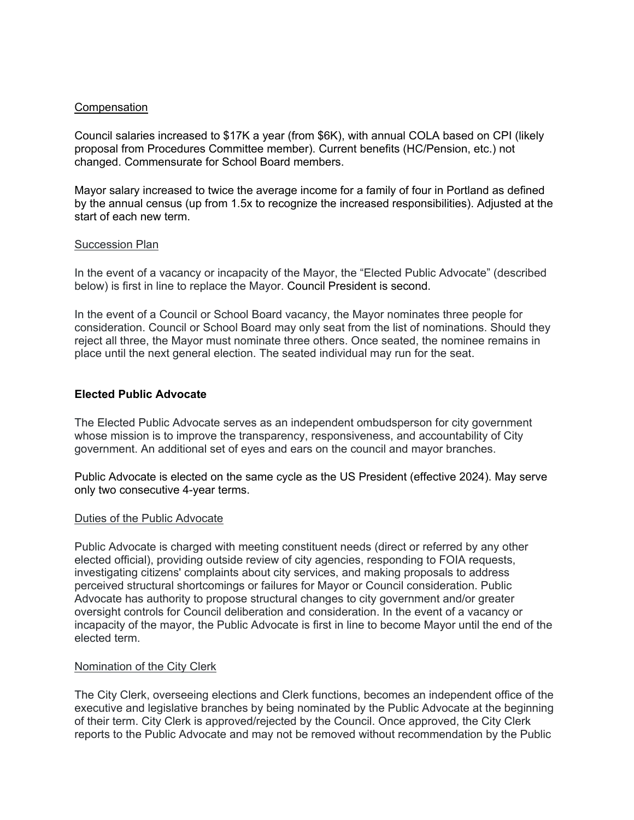### Compensation

Council salaries increased to \$17K a year (from \$6K), with annual COLA based on CPI (likely proposal from Procedures Committee member). Current benefits (HC/Pension, etc.) not changed. Commensurate for School Board members.

Mayor salary increased to twice the average income for a family of four in Portland as defined by the annual census (up from 1.5x to recognize the increased responsibilities). Adjusted at the start of each new term.

### **Succession Plan**

In the event of a vacancy or incapacity of the Mayor, the "Elected Public Advocate" (described below) is first in line to replace the Mayor. Council President is second.

In the event of a Council or School Board vacancy, the Mayor nominates three people for consideration. Council or School Board may only seat from the list of nominations. Should they reject all three, the Mayor must nominate three others. Once seated, the nominee remains in place until the next general election. The seated individual may run for the seat.

# **Elected Public Advocate**

The Elected Public Advocate serves as an independent ombudsperson for city government whose mission is to improve the transparency, responsiveness, and accountability of City government. An additional set of eyes and ears on the council and mayor branches.

Public Advocate is elected on the same cycle as the US President (effective 2024). May serve only two consecutive 4-year terms.

### Duties of the Public Advocate

Public Advocate is charged with meeting constituent needs (direct or referred by any other elected official), providing outside review of city agencies, responding to FOIA requests, investigating citizens' complaints about city services, and making proposals to address perceived structural shortcomings or failures for Mayor or Council consideration. Public Advocate has authority to propose structural changes to city government and/or greater oversight controls for Council deliberation and consideration. In the event of a vacancy or incapacity of the mayor, the Public Advocate is first in line to become Mayor until the end of the elected term.

# Nomination of the City Clerk

The City Clerk, overseeing elections and Clerk functions, becomes an independent office of the executive and legislative branches by being nominated by the Public Advocate at the beginning of their term. City Clerk is approved/rejected by the Council. Once approved, the City Clerk reports to the Public Advocate and may not be removed without recommendation by the Public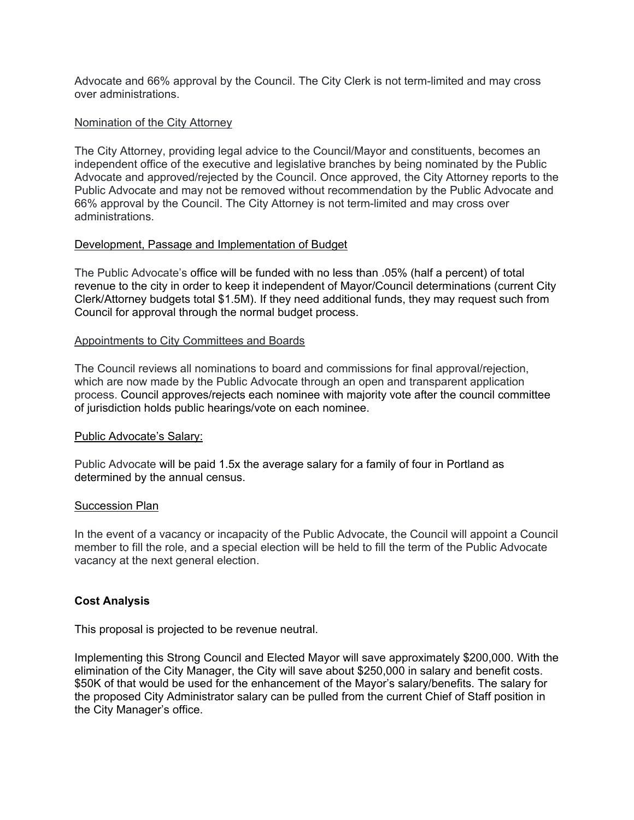Advocate and 66% approval by the Council. The City Clerk is not term-limited and may cross over administrations.

### Nomination of the City Attorney

The City Attorney, providing legal advice to the Council/Mayor and constituents, becomes an independent office of the executive and legislative branches by being nominated by the Public Advocate and approved/rejected by the Council. Once approved, the City Attorney reports to the Public Advocate and may not be removed without recommendation by the Public Advocate and 66% approval by the Council. The City Attorney is not term-limited and may cross over administrations.

### Development, Passage and Implementation of Budget

The Public Advocate's office will be funded with no less than .05% (half a percent) of total revenue to the city in order to keep it independent of Mayor/Council determinations (current City Clerk/Attorney budgets total \$1.5M). If they need additional funds, they may request such from Council for approval through the normal budget process.

### Appointments to City Committees and Boards

The Council reviews all nominations to board and commissions for final approval/rejection, which are now made by the Public Advocate through an open and transparent application process. Council approves/rejects each nominee with majority vote after the council committee of jurisdiction holds public hearings/vote on each nominee.

### Public Advocate's Salary:

Public Advocate will be paid 1.5x the average salary for a family of four in Portland as determined by the annual census.

### Succession Plan

In the event of a vacancy or incapacity of the Public Advocate, the Council will appoint a Council member to fill the role, and a special election will be held to fill the term of the Public Advocate vacancy at the next general election.

# **Cost Analysis**

This proposal is projected to be revenue neutral.

Implementing this Strong Council and Elected Mayor will save approximately \$200,000. With the elimination of the City Manager, the City will save about \$250,000 in salary and benefit costs. \$50K of that would be used for the enhancement of the Mayor's salary/benefits. The salary for the proposed City Administrator salary can be pulled from the current Chief of Staff position in the City Manager's office.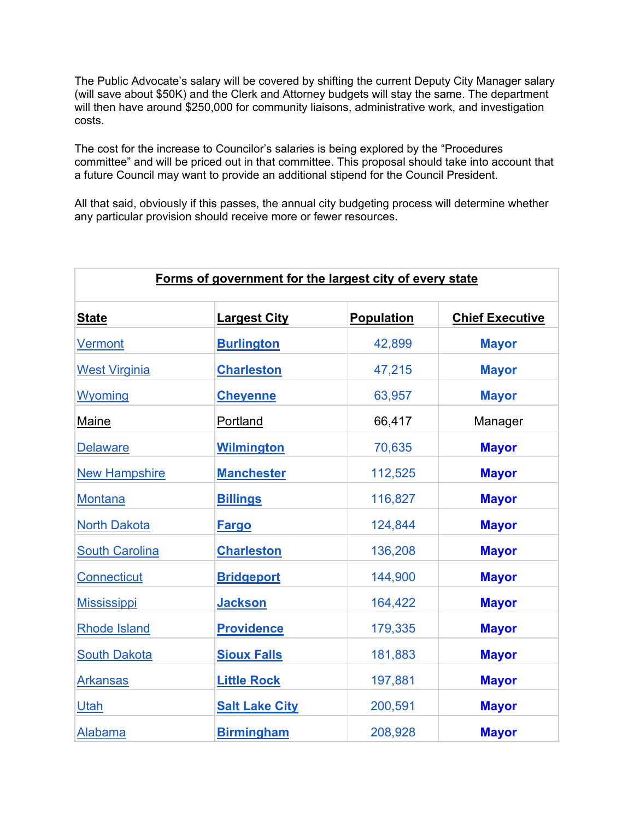The Public Advocate's salary will be covered by shifting the current Deputy City Manager salary (will save about \$50K) and the Clerk and Attorney budgets will stay the same. The department will then have around \$250,000 for community liaisons, administrative work, and investigation costs.

The cost for the increase to Councilor's salaries is being explored by the "Procedures committee" and will be priced out in that committee. This proposal should take into account that a future Council may want to provide an additional stipend for the Council President.

All that said, obviously if this passes, the annual city budgeting process will determine whether any particular provision should receive more or fewer resources.

| Forms of government for the largest city of every state |                       |                   |                        |  |
|---------------------------------------------------------|-----------------------|-------------------|------------------------|--|
| <b>State</b>                                            | <b>Largest City</b>   | <b>Population</b> | <b>Chief Executive</b> |  |
| <b>Vermont</b>                                          | <b>Burlington</b>     | 42,899            | <b>Mayor</b>           |  |
| <b>West Virginia</b>                                    | <b>Charleston</b>     | 47,215            | <b>Mayor</b>           |  |
| <b>Wyoming</b>                                          | <b>Cheyenne</b>       | 63,957            | <b>Mayor</b>           |  |
| Maine                                                   | Portland              | 66,417            | Manager                |  |
| <b>Delaware</b>                                         | <b>Wilmington</b>     | 70,635            | <b>Mayor</b>           |  |
| <b>New Hampshire</b>                                    | <b>Manchester</b>     | 112,525           | <b>Mayor</b>           |  |
| <b>Montana</b>                                          | <b>Billings</b>       | 116,827           | <b>Mayor</b>           |  |
| <b>North Dakota</b>                                     | <b>Fargo</b>          | 124,844           | <b>Mayor</b>           |  |
| <b>South Carolina</b>                                   | <b>Charleston</b>     | 136,208           | <b>Mayor</b>           |  |
| <b>Connecticut</b>                                      | <b>Bridgeport</b>     | 144,900           | <b>Mayor</b>           |  |
| <b>Mississippi</b>                                      | <b>Jackson</b>        | 164,422           | <b>Mayor</b>           |  |
| <b>Rhode Island</b>                                     | <b>Providence</b>     | 179,335           | <b>Mayor</b>           |  |
| <b>South Dakota</b>                                     | <b>Sioux Falls</b>    | 181,883           | <b>Mayor</b>           |  |
| <b>Arkansas</b>                                         | <b>Little Rock</b>    | 197,881           | <b>Mayor</b>           |  |
| Utah                                                    | <b>Salt Lake City</b> | 200,591           | <b>Mayor</b>           |  |
| <b>Alabama</b>                                          | <b>Birmingham</b>     | 208,928           | <b>Mayor</b>           |  |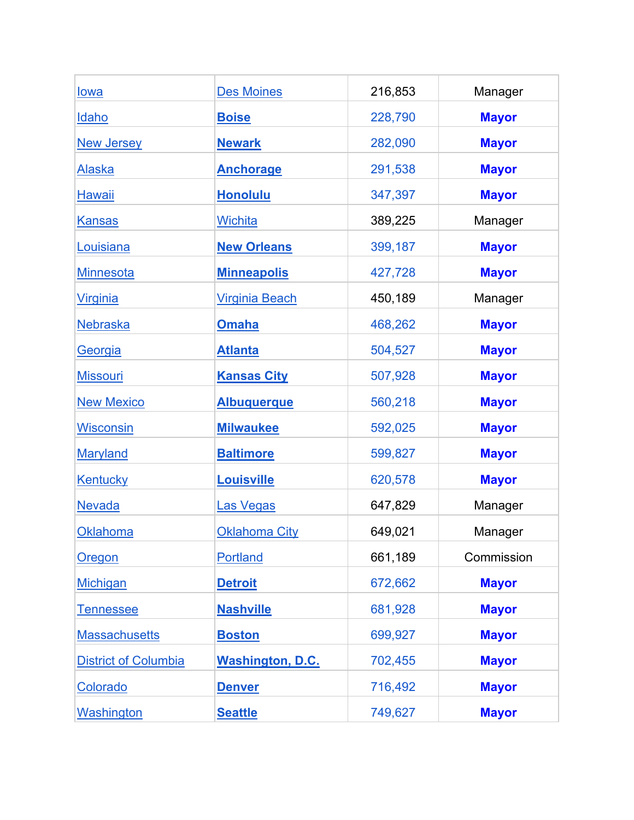| <u>lowa</u>                 | <b>Des Moines</b>       | 216,853 | Manager      |
|-----------------------------|-------------------------|---------|--------------|
| Idaho                       | <b>Boise</b>            | 228,790 | <b>Mayor</b> |
| <b>New Jersey</b>           | <b>Newark</b>           | 282,090 | <b>Mayor</b> |
| <u>Alaska</u>               | <b>Anchorage</b>        | 291,538 | <b>Mayor</b> |
| <b>Hawaii</b>               | <b>Honolulu</b>         | 347,397 | <b>Mayor</b> |
| <b>Kansas</b>               | <b>Wichita</b>          | 389,225 | Manager      |
| Louisiana                   | <b>New Orleans</b>      | 399,187 | <b>Mayor</b> |
| <b>Minnesota</b>            | <b>Minneapolis</b>      | 427,728 | <b>Mayor</b> |
| <b>Virginia</b>             | <b>Virginia Beach</b>   | 450,189 | Manager      |
| <b>Nebraska</b>             | <b>Omaha</b>            | 468,262 | <b>Mayor</b> |
| Georgia                     | <b>Atlanta</b>          | 504,527 | <b>Mayor</b> |
| <b>Missouri</b>             | <b>Kansas City</b>      | 507,928 | <b>Mayor</b> |
| <b>New Mexico</b>           | <b>Albuquerque</b>      | 560,218 | <b>Mayor</b> |
| <b>Wisconsin</b>            | <b>Milwaukee</b>        | 592,025 | <b>Mayor</b> |
| <b>Maryland</b>             | <b>Baltimore</b>        | 599,827 | <b>Mayor</b> |
| <b>Kentucky</b>             | <b>Louisville</b>       | 620,578 | <b>Mayor</b> |
| <b>Nevada</b>               | Las Vegas               | 647,829 | Manager      |
| <b>Oklahoma</b>             | <b>Oklahoma City</b>    | 649,021 | Manager      |
| Oregon                      | <b>Portland</b>         | 661,189 | Commission   |
| <b>Michigan</b>             | <b>Detroit</b>          | 672,662 | <b>Mayor</b> |
| <b>Tennessee</b>            | <b>Nashville</b>        | 681,928 | <b>Mayor</b> |
| <b>Massachusetts</b>        | <b>Boston</b>           | 699,927 | <b>Mayor</b> |
| <b>District of Columbia</b> | <b>Washington, D.C.</b> | 702,455 | <b>Mayor</b> |
| Colorado                    | <b>Denver</b>           | 716,492 | <b>Mayor</b> |
| <b>Washington</b>           | <b>Seattle</b>          | 749,627 | <b>Mayor</b> |